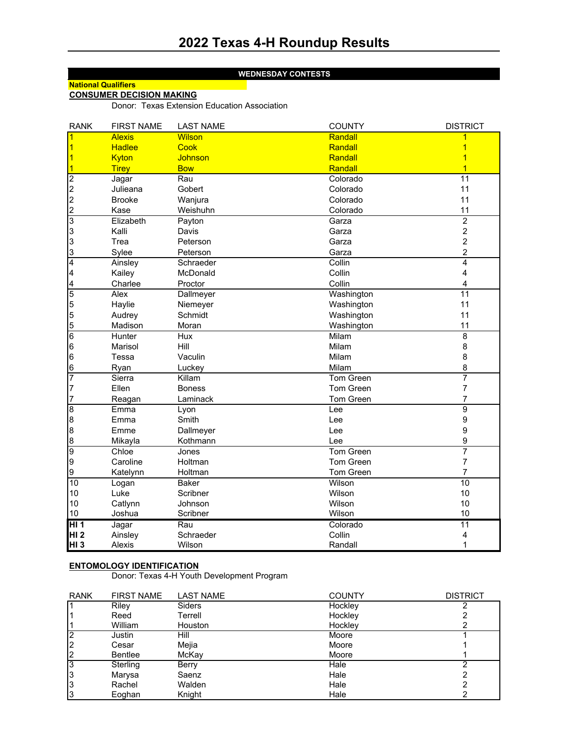### **WEDNESDAY CONTESTS**

# **National Qualifiers**

## **CONSUMER DECISION MAKING**

Donor: Texas Extension Education Association

| <b>RANK</b>     | <b>FIRST NAME</b> | <b>LAST NAME</b> | <b>COUNTY</b>    | <b>DISTRICT</b>  |
|-----------------|-------------------|------------------|------------------|------------------|
|                 | <b>Alexis</b>     | <b>Wilson</b>    | Randall          | 1                |
|                 | <b>Hadlee</b>     | Cook             | Randall          | 1                |
| 1               | Kyton             | Johnson          | Randall          | 1                |
|                 | <b>Tirey</b>      | <b>Bow</b>       | Randall          | $\overline{1}$   |
| $\overline{c}$  | Jagar             | Rau              | Colorado         | 11               |
|                 | Julieana          | Gobert           | Colorado         | 11               |
| $\frac{2}{2}$   | <b>Brooke</b>     | Wanjura          | Colorado         | 11               |
| $\overline{c}$  | Kase              | Weishuhn         | Colorado         | 11               |
| 3               | Elizabeth         | Payton           | Garza            | $\overline{2}$   |
| 3               | Kalli             | Davis            | Garza            | $\boldsymbol{2}$ |
| 3               | Trea              | Peterson         | Garza            | $\boldsymbol{2}$ |
| 3               | Sylee             | Peterson         | Garza            | $\overline{c}$   |
| $\overline{4}$  | Ainsley           | Schraeder        | Collin           | 4                |
| 4               | Kailey            | McDonald         | Collin           | 4                |
| 4               | Charlee           | Proctor          | Collin           | 4                |
| 5               | Alex              | Dallmeyer        | Washington       | 11               |
| 5               | Haylie            | Niemeyer         | Washington       | 11               |
| 5               | Audrey            | Schmidt          | Washington       | 11               |
| 5               | Madison           | Moran            | Washington       | 11               |
| $\overline{6}$  | Hunter            | Hux              | Milam            | 8                |
| 6               | Marisol           | Hill             | Milam            | 8                |
| 6               | Tessa             | Vaculin          | Milam            | 8                |
| 6               | Ryan              | Luckey           | Milam            | 8                |
| 7               | Sierra            | Killam           | <b>Tom Green</b> | 7                |
| 7               | Ellen             | <b>Boness</b>    | Tom Green        | $\overline{7}$   |
| 7               | Reagan            | Laminack         | <b>Tom Green</b> | 7                |
| $\overline{8}$  | Emma              | Lyon             | Lee              | $\overline{9}$   |
| 8               | Emma              | Smith            | Lee              | $\boldsymbol{9}$ |
| 8               | Emme              | Dallmeyer        | Lee              | 9                |
| 8               | Mikayla           | Kothmann         | Lee              | $\boldsymbol{9}$ |
| 9               | Chloe             | Jones            | Tom Green        | 7                |
| 9               | Caroline          | Holtman          | Tom Green        | $\overline{7}$   |
| 9               | Katelynn          | Holtman          | Tom Green        | $\overline{7}$   |
| 10              | Logan             | <b>Baker</b>     | Wilson           | $\overline{10}$  |
| 10              | Luke              | Scribner         | Wilson           | 10               |
| 10              | Catlynn           | Johnson          | Wilson           | 10               |
| 10              | Joshua            | Scribner         | Wilson           | 10               |
| HI <sub>1</sub> | Jagar             | Rau              | Colorado         | 11               |
| HI <sub>2</sub> | Ainsley           | Schraeder        | Collin           | 4                |
| HI <sub>3</sub> | Alexis            | Wilson           | Randall          | 1                |

### **ENTOMOLOGY IDENTIFICATION**

Donor: Texas 4-H Youth Development Program

| <b>RANK</b>    | <b>FIRST NAME</b> | <b>LAST NAME</b> | <b>COUNTY</b> | <b>DISTRICT</b> |
|----------------|-------------------|------------------|---------------|-----------------|
|                | Riley             | <b>Siders</b>    | Hockley       |                 |
|                | Reed              | Terrell          | Hockley       |                 |
|                | William           | Houston          | Hockley       |                 |
| 2              | Justin            | Hill             | Moore         |                 |
| $\overline{2}$ | Cesar             | Mejia            | Moore         |                 |
| 2              | <b>Bentlee</b>    | McKay            | Moore         |                 |
| 3              | Sterling          | Berry            | Hale          |                 |
| 3              | Marysa            | Saenz            | Hale          |                 |
| 3              | Rachel            | Walden           | Hale          |                 |
| 3              | Eoghan            | Knight           | Hale          |                 |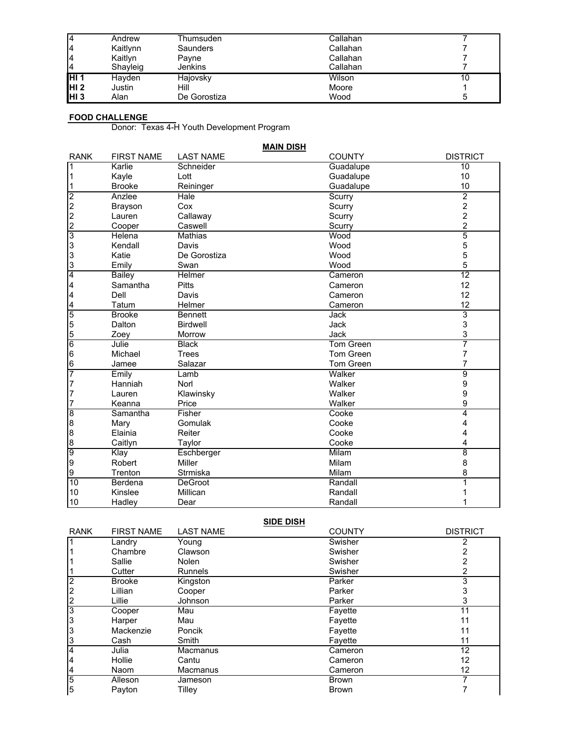| 14               | Andrew   | Thumsuden    | Callahan |  |
|------------------|----------|--------------|----------|--|
| 14               | Kaitlynn | Saunders     | Callahan |  |
| 14               | Kaitlyn  | Pavne        | Callahan |  |
| 14               | Shayleig | Jenkins      | Callahan |  |
| IHI 1            | Havden   | Hajovsky     | Wilson   |  |
| HI <sub>2</sub>  | Justin   | Hill         | Moore    |  |
| IHI <sub>3</sub> | Alan     | De Gorostiza | Wood     |  |

### **FOOD CHALLENGE**

Donor: Texas 4-H Youth Development Program

|                         | <b>MAIN DISH</b>  |                  |                  |                 |  |  |  |
|-------------------------|-------------------|------------------|------------------|-----------------|--|--|--|
| <b>RANK</b>             | <b>FIRST NAME</b> | <b>LAST NAME</b> | <b>COUNTY</b>    | <b>DISTRICT</b> |  |  |  |
| $\overline{\mathbf{1}}$ | Karlie            | Schneider        | Guadalupe        | 10              |  |  |  |
| 1                       | Kayle             | Lott             | Guadalupe        | 10              |  |  |  |
| 1                       | <b>Brooke</b>     | Reininger        | Guadalupe        | 10              |  |  |  |
| $\overline{c}$          | Anzlee            | Hale             | Scurry           | $\overline{2}$  |  |  |  |
| $\overline{c}$          | <b>Brayson</b>    | Cox              | Scurry           | $\overline{c}$  |  |  |  |
| $\overline{2}$          | Lauren            | Callaway         | Scurry           | $\overline{c}$  |  |  |  |
| $\frac{2}{3}$           | Cooper            | Caswell          | Scurry           | $\overline{c}$  |  |  |  |
|                         | Helena            | <b>Mathias</b>   | Wood             | 5               |  |  |  |
| 3                       | Kendall           | Davis            | Wood             | 5               |  |  |  |
| $\overline{3}$          | Katie             | De Gorostiza     | Wood             | 5               |  |  |  |
| $\frac{3}{4}$           | Emily             | Swan             | Wood             | 5               |  |  |  |
|                         | <b>Bailey</b>     | Helmer           | Cameron          | $\overline{12}$ |  |  |  |
| $\overline{a}$          | Samantha          | <b>Pitts</b>     | Cameron          | 12              |  |  |  |
| $\overline{\mathbf{r}}$ | Dell              | Davis            | Cameron          | 12              |  |  |  |
| $\overline{a}$          | Tatum             | Helmer           | Cameron          | 12              |  |  |  |
| $\overline{5}$          | <b>Brooke</b>     | <b>Bennett</b>   | <b>Jack</b>      | 3               |  |  |  |
| 5                       | Dalton            | <b>Birdwell</b>  | Jack             | 3               |  |  |  |
| $\frac{5}{6}$           | Zoey              | Morrow           | Jack             | 3               |  |  |  |
|                         | Julie             | <b>Black</b>     | Tom Green        | 7               |  |  |  |
| $6\phantom{.}6$         | Michael           | <b>Trees</b>     | Tom Green        | 7               |  |  |  |
| $\frac{6}{7}$           | Jamee             | Salazar          | <b>Tom Green</b> | 7               |  |  |  |
|                         | Emily             | Lamb             | Walker           | 9               |  |  |  |
| $\overline{7}$          | Hanniah           | Norl             | Walker           | 9               |  |  |  |
| $\overline{7}$          | Lauren            | Klawinsky        | Walker           | 9               |  |  |  |
| $\overline{7}$          | Keanna            | Price            | Walker           | 9               |  |  |  |
| $\overline{8}$          | Samantha          | Fisher           | Cooke            | 4               |  |  |  |
| 8                       | Mary              | Gomulak          | Cooke            | 4               |  |  |  |
| 8                       | Elainia           | Reiter           | Cooke            | 4               |  |  |  |
| $\frac{8}{9}$           | Caitlyn           | Taylor           | Cooke            | 4               |  |  |  |
|                         | Klay              | Eschberger       | <b>Milam</b>     | $\overline{8}$  |  |  |  |
| 9                       | Robert            | Miller           | Milam            | 8               |  |  |  |
| 9                       | Trenton           | Strmiska         | Milam            | 8               |  |  |  |
| 10                      | Berdena           | <b>DeGroot</b>   | Randall          | 1               |  |  |  |
| 10                      | Kinslee           | Millican         | Randall          |                 |  |  |  |
| 10                      | Hadley            | Dear             | Randall          |                 |  |  |  |

| <b>SIDE DISH</b> |                   |                  |               |                 |  |
|------------------|-------------------|------------------|---------------|-----------------|--|
| <b>RANK</b>      | <b>FIRST NAME</b> | <b>LAST NAME</b> | <b>COUNTY</b> | <b>DISTRICT</b> |  |
| 1                | Landry            | Young            | Swisher       |                 |  |
|                  | Chambre           | Clawson          | Swisher       |                 |  |
|                  | Sallie            | Nolen            | Swisher       |                 |  |
|                  | Cutter            | <b>Runnels</b>   | Swisher       | 2               |  |
| $\overline{2}$   | <b>Brooke</b>     | Kingston         | Parker        | 3               |  |
| 2                | Lillian           | Cooper           | Parker        | 3               |  |
| $\overline{c}$   | Lillie            | Johnson          | Parker        | 3               |  |
| 3                | Cooper            | Mau              | Fayette       | 11              |  |
| 3                | Harper            | Mau              | Fayette       | 11              |  |
| 3                | Mackenzie         | Poncik           | Fayette       | 11              |  |
| 3                | Cash              | Smith            | Fayette       | 11              |  |
| 4                | Julia             | Macmanus         | Cameron       | 12              |  |
| 4                | Hollie            | Cantu            | Cameron       | 12              |  |
| 4                | Naom              | Macmanus         | Cameron       | 12              |  |
| 5                | Alleson           | Jameson          | <b>Brown</b>  |                 |  |
| 5                | Payton            | Tilley           | <b>Brown</b>  |                 |  |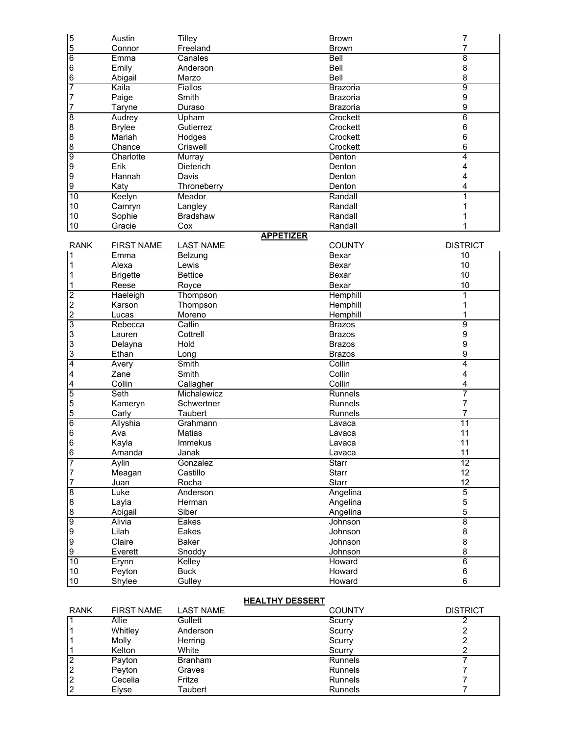| $\begin{array}{c} 5 \\ 5 \end{array}$ | Austin            | <b>Tilley</b>       | <b>Brown</b><br><b>Brown</b> | 7<br>7           |
|---------------------------------------|-------------------|---------------------|------------------------------|------------------|
| $6\overline{6}$                       | Connor<br>Emma    | Freeland<br>Canales | Bell                         | $\overline{8}$   |
|                                       |                   |                     |                              |                  |
| 6                                     | Emily             | Anderson            | Bell                         | 8                |
| 6                                     | Abigail           | Marzo               | <b>Bell</b>                  | 8                |
| 7                                     | Kaila             | Fiallos             | Brazoria                     | $\overline{9}$   |
| 7                                     | Paige             | Smith               | <b>Brazoria</b>              | $\boldsymbol{9}$ |
| 7                                     | Taryne            | Duraso              | Brazoria                     | 9                |
| $\overline{8}$                        | Audrey            | Upham               | Crockett                     | 6                |
| $\boldsymbol{8}$                      | <b>Brylee</b>     | Gutierrez           | Crockett                     | 6                |
| 8                                     | Mariah            | Hodges              | Crockett                     | 6                |
| 8                                     | Chance            | Criswell            | Crockett                     | 6                |
| 9                                     | Charlotte         | Murray              | Denton                       | 4                |
| 9                                     | Erik              | Dieterich           | Denton                       | 4                |
| 9                                     | Hannah            | Davis               | Denton                       | 4                |
| 9                                     | Katy              | Throneberry         | Denton                       | 4                |
| 10                                    | Keelyn            | Meador              | Randall                      | 1                |
| 10                                    | Camryn            | Langley             | Randall                      | 1                |
| 10                                    | Sophie            | <b>Bradshaw</b>     | Randall                      |                  |
| 10                                    | Gracie            | Cox                 | Randall                      |                  |
|                                       |                   | <b>APPETIZER</b>    |                              |                  |
| <b>RANK</b>                           | <b>FIRST NAME</b> | <b>LAST NAME</b>    | <b>COUNTY</b>                | <b>DISTRICT</b>  |
| 1                                     | Emma              | Belzung             | Bexar                        | 10               |
| 1                                     | Alexa             | Lewis               | Bexar                        | 10               |
| 1                                     | <b>Brigette</b>   | <b>Bettice</b>      | Bexar                        | 10               |
| 1                                     | Reese             | Royce               | Bexar                        | 10               |
|                                       |                   |                     | Hemphill                     | 1                |
| $\frac{2}{2}$                         | Haeleigh          | Thompson            |                              |                  |
|                                       | Karson            | Thompson            | Hemphill                     | 1                |
| $\overline{c}$                        | Lucas             | Moreno              | Hemphill                     | 1                |
| 3                                     | Rebecca           | Catlin              | <b>Brazos</b>                | 9                |
| 3                                     | Lauren            | Cottrell            | <b>Brazos</b>                | 9                |
| 3                                     | Delayna           | Hold                | <b>Brazos</b>                | 9                |
| 3                                     | Ethan             | Long                | <b>Brazos</b>                | 9                |
| 4                                     | Avery             | Smith               | Collin                       | 4                |
| 4                                     | Zane              | Smith               | Collin                       | 4                |
| 4                                     | Collin            | Callagher           | Collin                       | 4                |
| 5                                     | Seth              | Michalewicz         | <b>Runnels</b>               | 7                |
| 5                                     | Kameryn           | Schwertner          | <b>Runnels</b>               | 7                |
| 5                                     | Carly             | Taubert             | Runnels                      | 7                |
| $6\overline{6}$                       | Allyshia          | Grahmann            | Lavaca                       | $\overline{11}$  |
| 6                                     | Ava               | Matias              | Lavaca                       | 11               |
| 6                                     | Kayla             | <b>Immekus</b>      | Lavaca                       | 11               |
| 6                                     | Amanda            | Janak               | Lavaca                       | 11               |
| 7                                     | Aylin             | Gonzalez            | <b>Starr</b>                 | $\overline{12}$  |
| 7                                     | Meagan            | Castillo            | Starr                        | 12               |
| 7                                     | Juan              | Rocha               | Starr                        | 12               |
| $\overline{8}$                        | Luke              | Anderson            | Angelina                     | $\overline{5}$   |
| 8                                     | Layla             | Herman              | Angelina                     | 5                |
| 8                                     | Abigail           | Siber               | Angelina                     | 5                |
| 9                                     | <b>Alivia</b>     | Eakes               | Johnson                      | $\overline{8}$   |
| 9                                     | Lilah             | Eakes               | Johnson                      | 8                |
| 9                                     | Claire            | Baker               | Johnson                      | 8                |
| 9                                     | Everett           | Snoddy              | Johnson                      | 8                |
|                                       |                   |                     |                              |                  |
| 10                                    | Erynn             | Kelley              | Howard                       | $6\overline{6}$  |
| $10$                                  | Peyton            | <b>Buck</b>         | Howard                       | $\,6\,$          |
| $10$                                  | Shylee            | Gulley              | Howard                       | 6                |

## **HEALTHY DESSERT**

| <b>RANK</b> | <b>FIRST NAME</b> | LAST NAME      | <b>COUNTY</b>  | <b>DISTRICT</b> |
|-------------|-------------------|----------------|----------------|-----------------|
|             | Allie             | Gullett        | Scurry         |                 |
|             | Whitley           | Anderson       | Scurry         |                 |
|             | Molly             | Herring        | Scurry         |                 |
|             | Kelton            | White          | Scurry         |                 |
|             | Payton            | <b>Branham</b> | <b>Runnels</b> |                 |
|             | Peyton            | Graves         | <b>Runnels</b> |                 |
|             | Cecelia           | Fritze         | <b>Runnels</b> |                 |
|             | Elyse             | Taubert        | <b>Runnels</b> |                 |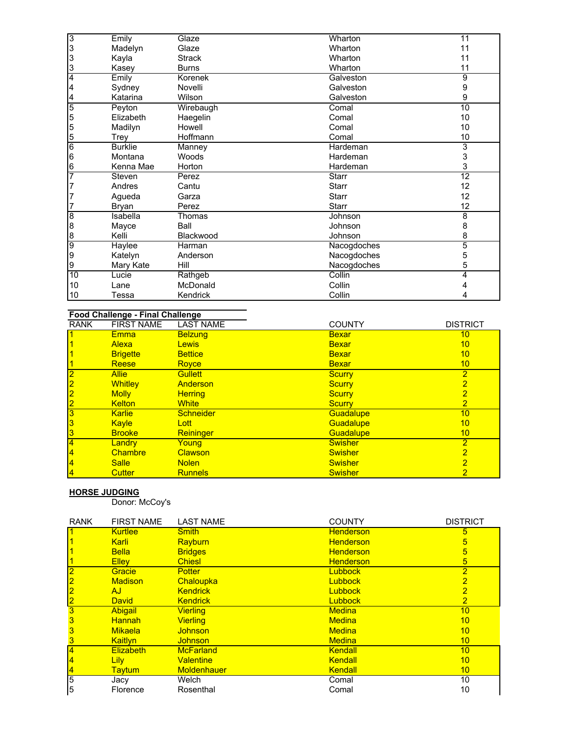| 3              | Emily          | Glaze         | Wharton      | 11              |
|----------------|----------------|---------------|--------------|-----------------|
| 3              | Madelyn        | Glaze         | Wharton      | 11              |
| 3              | Kayla          | <b>Strack</b> | Wharton      | 11              |
| 3              | Kasey          | <b>Burns</b>  | Wharton      | 11              |
| 4              | Emily          | Korenek       | Galveston    | 9               |
| 4              | Sydney         | Novelli       | Galveston    | 9               |
| 4              | Katarina       | Wilson        | Galveston    | 9               |
| $\overline{5}$ | Peyton         | Wirebaugh     | Comal        | $\overline{10}$ |
| 5              | Elizabeth      | Haegelin      | Comal        | 10              |
| 5              | Madilyn        | Howell        | Comal        | 10              |
| 5              | Trey           | Hoffmann      | Comal        | 10              |
| 6              | <b>Burklie</b> | Manney        | Hardeman     | 3               |
| 6              | Montana        | Woods         | Hardeman     | 3               |
| 6              | Kenna Mae      | Horton        | Hardeman     | 3               |
| 7              | Steven         | Perez         | <b>Starr</b> | $\overline{12}$ |
| 7              | Andres         | Cantu         | <b>Starr</b> | 12              |
| 7              | Aqueda         | Garza         | <b>Starr</b> | 12              |
|                | Bryan          | Perez         | <b>Starr</b> | 12              |
| 8              | Isabella       | Thomas        | Johnson      | 8               |
| 8              | Mayce          | Ball          | Johnson      | 8               |
| 8              | Kelli          | Blackwood     | Johnson      | 8               |
| 9              | Haylee         | Harman        | Nacogdoches  | 5               |
| 9              | Katelyn        | Anderson      | Nacogdoches  | 5               |
| 9              | Mary Kate      | Hill          | Nacogdoches  | 5               |
| 10             | Lucie          | Rathgeb       | Collin       | 4               |
| 10             | Lane           | McDonald      | Collin       |                 |
| 10             | Tessa          | Kendrick      | Collin       |                 |

# **Food Challenge - Final Challenge**

| <b>RANK</b>    | <b>FIRST NAME</b> | <b>LAST NAME</b> | <b>COUNTY</b>  | <b>DISTRICT</b> |
|----------------|-------------------|------------------|----------------|-----------------|
|                | <b>Emma</b>       | <b>Belzung</b>   | <b>Bexar</b>   | 10              |
|                | Alexa             | <b>Lewis</b>     | <b>Bexar</b>   | 10              |
|                | <b>Brigette</b>   | <b>Bettice</b>   | <b>Bexar</b>   | 10              |
|                | <b>Reese</b>      | Royce            | <b>Bexar</b>   | 10              |
| $\overline{2}$ | <b>Allie</b>      | <b>Gullett</b>   | <b>Scurry</b>  | $\overline{2}$  |
| $\overline{2}$ | <b>Whitley</b>    | Anderson         | <b>Scurry</b>  | $\overline{2}$  |
| $\overline{2}$ | <b>Molly</b>      | <b>Herring</b>   | <b>Scurry</b>  | 2               |
| $\overline{2}$ | <b>Kelton</b>     | <b>White</b>     | <b>Scurry</b>  | $\overline{2}$  |
| 3              | <b>Karlie</b>     | <b>Schneider</b> | Guadalupe      | 10              |
| 3              | Kayle             | Lott             | Guadalupe      | 10              |
| 3              | <b>Brooke</b>     | Reininger        | Guadalupe      | 10              |
| $\overline{4}$ | Landry            | Young            | <b>Swisher</b> | $\overline{2}$  |
| $\overline{4}$ | <b>Chambre</b>    | <b>Clawson</b>   | <b>Swisher</b> | $\overline{2}$  |
| $\overline{4}$ | <b>Salle</b>      | <b>Nolen</b>     | <b>Swisher</b> | $\overline{2}$  |
| $\overline{4}$ | <b>Cutter</b>     | <b>Runnels</b>   | <b>Swisher</b> | 2               |

#### **HORSE JUDGING**

Donor: McCoy's

| <b>RANK</b>    | <b>FIRST NAME</b> | <b>LAST NAME</b>   | <b>COUNTY</b>    | <b>DISTRICT</b> |
|----------------|-------------------|--------------------|------------------|-----------------|
|                | <b>Kurtlee</b>    | <b>Smith</b>       | <b>Henderson</b> | 5               |
|                | Karli             | Rayburn            | <b>Henderson</b> | $\overline{5}$  |
|                | <b>Bella</b>      | <b>Bridges</b>     | <b>Henderson</b> | $5\overline{}$  |
|                | <b>Ellev</b>      | <b>Chiesl</b>      | <b>Henderson</b> | $5\overline{)}$ |
| $\overline{2}$ | Gracie            | <b>Potter</b>      | <b>Lubbock</b>   | $\overline{2}$  |
| $\overline{2}$ | <b>Madison</b>    | Chaloupka          | <b>Lubbock</b>   | $\overline{2}$  |
| $\overline{2}$ | AJ.               | <b>Kendrick</b>    | <b>Lubbock</b>   | $\overline{2}$  |
| $\overline{2}$ | <b>David</b>      | <b>Kendrick</b>    | <b>Lubbock</b>   | $\overline{2}$  |
| 3              | <b>Abigail</b>    | <b>Vierling</b>    | <b>Medina</b>    | 10              |
| 3              | <b>Hannah</b>     | <b>Vierling</b>    | <b>Medina</b>    | 10              |
| 3              | <b>Mikaela</b>    | <b>Johnson</b>     | <b>Medina</b>    | 10              |
| 3              | <b>Kaitlyn</b>    | <b>Johnson</b>     | <b>Medina</b>    | 10              |
| $\overline{4}$ | <b>Elizabeth</b>  | <b>McFarland</b>   | Kendall          | 10              |
| $\vert$        | <b>Lily</b>       | <b>Valentine</b>   | Kendall          | 10              |
| $\overline{4}$ | <b>Taytum</b>     | <b>Moldenhauer</b> | Kendall          | 10              |
| 5              | Jacy              | Welch              | Comal            | 10              |
| 5              | Florence          | Rosenthal          | Comal            | 10              |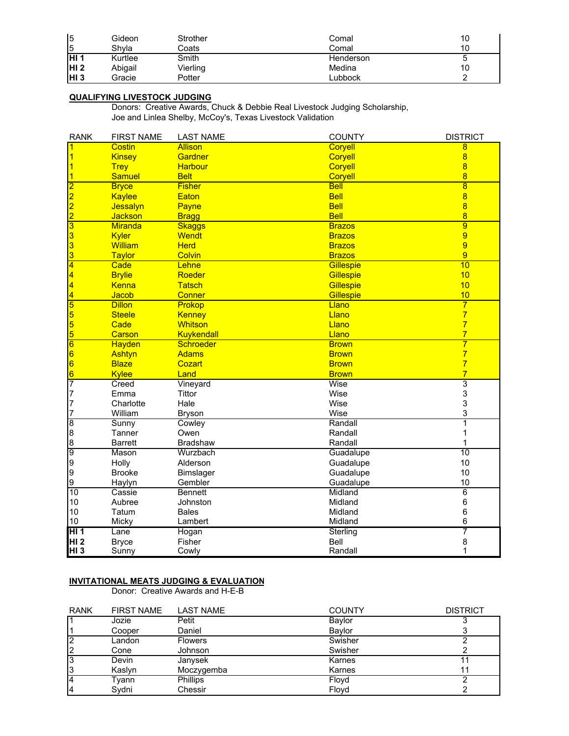| 5                | Gideon  | Strother | Comal     | 10 |
|------------------|---------|----------|-----------|----|
| 5                | Shvla   | Coats    | Comal     | 10 |
| IHI 1            | Kurtlee | Smith    | Henderson | ັ  |
| IHI <sub>2</sub> | Abigail | Vierling | Medina    | 10 |
| IHI <sub>3</sub> | Gracie  | Potter   | _ubbock   |    |

### **QUALIFYING LIVESTOCK JUDGING**

Donors: Creative Awards, Chuck & Debbie Real Livestock Judging Scholarship, Joe and Linlea Shelby, McCoy's, Texas Livestock Validation

| <b>RANK</b>             | <b>FIRST NAME</b> | <b>LAST NAME</b> | <b>COUNTY</b>  | <b>DISTRICT</b>         |
|-------------------------|-------------------|------------------|----------------|-------------------------|
|                         | Costin            | <b>Allison</b>   | Coryell        | 8                       |
|                         | <b>Kinsey</b>     | Gardner          | Coryell        | $\overline{8}$          |
|                         | <b>Trey</b>       | <b>Harbour</b>   | <b>Coryell</b> | $\overline{8}$          |
|                         | <b>Samuel</b>     | <b>Belt</b>      | Coryell        | $\overline{8}$          |
| $\overline{2}$          | <b>Bryce</b>      | <b>Fisher</b>    | <b>Bell</b>    | $\overline{8}$          |
| 2                       | Kaylee            | Eaton            | <b>Bell</b>    | $\overline{\mathbf{8}}$ |
| 2                       | Jessalyn          | Payne            | <b>Bell</b>    | $\overline{8}$          |
| $\overline{2}$          | <b>Jackson</b>    | <b>Bragg</b>     | <b>Bell</b>    | $\overline{8}$          |
| $\overline{\mathbf{3}}$ | <b>Miranda</b>    | <b>Skaggs</b>    | <b>Brazos</b>  | $\overline{9}$          |
| 3                       | <b>Kyler</b>      | <b>Wendt</b>     | <b>Brazos</b>  | 9                       |
| 3                       | <b>William</b>    | <b>Herd</b>      | <b>Brazos</b>  | 9                       |
| 3                       | <b>Taylor</b>     | <b>Colvin</b>    | <b>Brazos</b>  | 9                       |
| 4                       | Cade              | Lehne            | Gillespie      | 10                      |
| 4                       | <b>Brylie</b>     | Roeder           | Gillespie      | 10                      |
| 4                       | Kenna             | <b>Tatsch</b>    | Gillespie      | 10                      |
| 4                       | Jacob             | <b>Conner</b>    | Gillespie      | 10                      |
| 5                       | <b>Dillon</b>     | Prokop           | Llano          | $\overline{7}$          |
|                         | <b>Steele</b>     | Kenney           | Llano          | $\overline{7}$          |
| $\frac{5}{5}$           | Cade              | <b>Whitson</b>   | Llano          | $\overline{7}$          |
| 5                       | Carson            | Kuykendall       | Llano          | $\overline{7}$          |
| $\overline{6}$          | Hayden            | <b>Schroeder</b> | <b>Brown</b>   | 7                       |
| 6                       | Ashtyn            | <b>Adams</b>     | <b>Brown</b>   | $\overline{7}$          |
| $\overline{6}$          | <b>Blaze</b>      | Cozart           | <b>Brown</b>   | $\overline{7}$          |
| $\overline{6}$          | Kylee             | Land             | <b>Brown</b>   | $\overline{7}$          |
| 7                       | Creed             | Vineyard         | Wise           | $\overline{3}$          |
| 7                       | Emma              | <b>Tittor</b>    | Wise           | 3                       |
| 7                       | Charlotte         | Hale             | Wise           | 3                       |
| 7                       | William           | <b>Bryson</b>    | Wise           | 3                       |
| $\overline{8}$          | Sunny             | Cowley           | Randall        | $\overline{1}$          |
| 8                       | Tanner            | Owen             | Randall        | 1                       |
| 8                       | <b>Barrett</b>    | <b>Bradshaw</b>  | Randall        | 1                       |
| 9                       | Mason             | Wurzbach         | Guadalupe      | $\overline{10}$         |
| 9                       | Holly             | Alderson         | Guadalupe      | 10                      |
| 9                       | <b>Brooke</b>     | <b>Bimslager</b> | Guadalupe      | 10                      |
| 9                       | Haylyn            | Gembler          | Guadalupe      | 10                      |
| 10                      | Cassie            | <b>Bennett</b>   | Midland        | $\overline{6}$          |
| 10                      | Aubree            | Johnston         | Midland        | 6                       |
| 10                      | Tatum             | <b>Bales</b>     | Midland        | $\,6$                   |
| 10                      | Micky             | Lambert          | Midland        | 6                       |
| H11                     | Lane              | Hogan            | Sterling       | 7                       |
| <b>HI2</b>              | <b>Bryce</b>      | Fisher           | Bell           | 8                       |
| HI <sub>3</sub>         | Sunny             | Cowly            | Randall        | 1                       |

# **INVITATIONAL MEATS JUDGING & EVALUATION**

Donor: Creative Awards and H-E-B

| <b>RANK</b>    | <b>FIRST NAME</b> | LAST NAME      | <b>COUNTY</b> | <b>DISTRICT</b> |
|----------------|-------------------|----------------|---------------|-----------------|
|                | Jozie             | Petit          | Baylor        |                 |
|                | Cooper            | Daniel         | Baylor        |                 |
| $\overline{2}$ | Landon            | <b>Flowers</b> | Swisher       |                 |
| 2              | Cone              | Johnson        | Swisher       |                 |
| 3              | Devin             | Janysek        | Karnes        |                 |
| 13             | Kaslyn            | Moczygemba     | Karnes        |                 |
| 14             | Tvann             | Phillips       | Floyd         |                 |
| 14             | Svdni             | Chessir        | Flovd         |                 |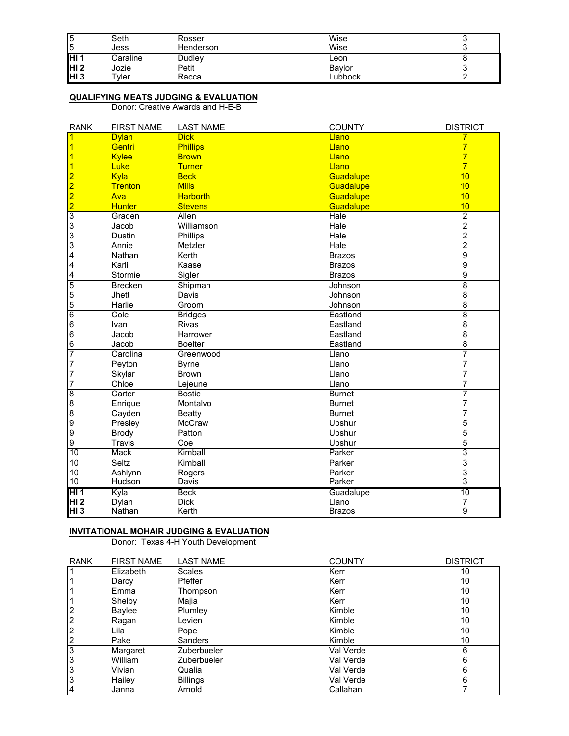| 5<br>5           | Seth<br>Jess     | Rosser<br>Henderson | Wise<br>Wise  |  |
|------------------|------------------|---------------------|---------------|--|
| IHI 1            | Caraline         | <b>Dudley</b>       | Leon          |  |
| HI <sub>2</sub>  | Jozie            | Petit               | <b>Bavlor</b> |  |
| IHI <sub>3</sub> | $\mathsf{v}$ ler | Racca               | _ubbock       |  |

#### **QUALIFYING MEATS JUDGING & EVALUATION**

Donor: Creative Awards and H-E-B

| <b>RANK</b>             | <b>FIRST NAME</b> | <b>LAST NAME</b> | <b>COUNTY</b> | <b>DISTRICT</b>  |
|-------------------------|-------------------|------------------|---------------|------------------|
|                         | <b>Dylan</b>      | <b>Dick</b>      | Llano         |                  |
|                         | Gentri            | <b>Phillips</b>  | Llano         | $\overline{7}$   |
|                         | <b>Kylee</b>      | <b>Brown</b>     | Llano         | $\overline{7}$   |
|                         | Luke              | <b>Turner</b>    | Llano         | $\overline{7}$   |
| 2                       | Kyla              | <b>Beck</b>      | Guadalupe     | 10               |
| $\overline{2}$          | <b>Trenton</b>    | <b>Mills</b>     | Guadalupe     | 10               |
| $\overline{\mathbf{2}}$ | Ava               | <b>Harborth</b>  | Guadalupe     | 10               |
| $\overline{2}$          | <b>Hunter</b>     | <b>Stevens</b>   | Guadalupe     | 10               |
| 3                       | Graden            | Allen            | Hale          | $\overline{2}$   |
| 3                       | Jacob             | Williamson       | Hale          | $\overline{2}$   |
| 3                       | <b>Dustin</b>     | Phillips         | Hale          | $\overline{c}$   |
| 3                       | Annie             | Metzler          | Hale          | $\overline{2}$   |
| 4                       | Nathan            | Kerth            | <b>Brazos</b> | $\overline{9}$   |
| 4                       | Karli             | Kaase            | <b>Brazos</b> | $\boldsymbol{9}$ |
| 4                       | Stormie           | Sigler           | <b>Brazos</b> | 9                |
| 5                       | <b>Brecken</b>    | Shipman          | Johnson       | $\overline{8}$   |
| 5                       | Jhett             | Davis            | Johnson       | 8                |
| 5                       | Harlie            | Groom            | Johnson       | 8                |
| $\overline{6}$          | Cole              | <b>Bridges</b>   | Eastland      | $\overline{8}$   |
| 6                       | Ivan              | <b>Rivas</b>     | Eastland      | 8                |
| 6                       | Jacob             | Harrower         | Eastland      | 8                |
| 6                       | Jacob             | <b>Boelter</b>   | Eastland      | 8                |
| 7                       | Carolina          | Greenwood        | Llano         | 7                |
| 7                       | Peyton            | <b>Byrne</b>     | Llano         | 7                |
| 7                       | Skylar            | <b>Brown</b>     | Llano         | 7                |
| 7                       | Chloe             | Lejeune          | Llano         | 7                |
| 8                       | Carter            | <b>Bostic</b>    | <b>Burnet</b> | 7                |
| 8                       | Enrique           | Montalvo         | <b>Burnet</b> | 7                |
| 8                       | Cayden            | <b>Beatty</b>    | <b>Burnet</b> | 7                |
| 9                       | Presley           | <b>McCraw</b>    | Upshur        | 5                |
| 9                       | <b>Brody</b>      | Patton           | Upshur        | 5                |
| 9                       | Travis            | Coe              | Upshur        | 5                |
| $\overline{10}$         | Mack              | Kimball          | Parker        | 3                |
| 10                      | Seltz             | Kimball          | Parker        | 3                |
| 10                      | Ashlynn           | Rogers           | Parker        | 3                |
| 10                      | Hudson            | Davis            | Parker        | 3                |
| HI <sub>1</sub>         | Kyla              | <b>Beck</b>      | Guadalupe     | 10               |
| <b>HI2</b>              | Dylan             | <b>Dick</b>      | Llano         | 7                |
| HI <sub>3</sub>         | Nathan            | Kerth            | <b>Brazos</b> | 9                |

### **INVITATIONAL MOHAIR JUDGING & EVALUATION**

Donor: Texas 4-H Youth Development

| <b>RANK</b>    | <b>FIRST NAME</b> | <b>LAST NAME</b> | <b>COUNTY</b> | <b>DISTRICT</b> |
|----------------|-------------------|------------------|---------------|-----------------|
|                | Elizabeth         | <b>Scales</b>    | Kerr          | 10              |
|                | Darcy             | Pfeffer          | Kerr          | 10              |
|                | Emma              | Thompson         | Kerr          | 10              |
|                | Shelby            | Majia            | Kerr          | 10              |
| $\overline{2}$ | Baylee            | Plumley          | Kimble        | 10              |
|                | Ragan             | Levien           | Kimble        | 10              |
| 2              | Lila              | Pope             | Kimble        | 10              |
|                | Pake              | Sanders          | Kimble        | 10              |
| 3              | Margaret          | Zuberbueler      | Val Verde     | 6               |
| '3             | William           | Zuberbueler      | Val Verde     | 6               |
| 3              | Vivian            | Qualia           | Val Verde     | 6               |
| 3              | Hailey            | <b>Billings</b>  | Val Verde     | 6               |
| 4              | Janna             | Arnold           | Callahan      |                 |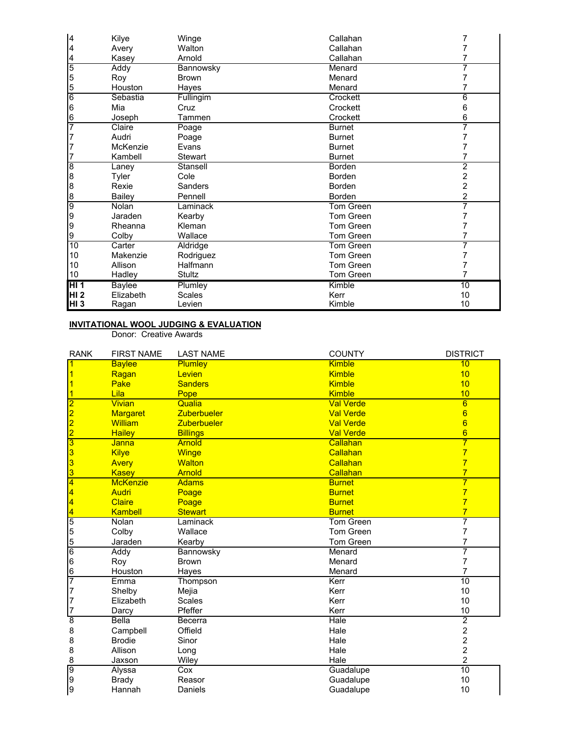| $\overline{a}$  | Kilye         | Winge        | Callahan         |                |
|-----------------|---------------|--------------|------------------|----------------|
| 4               | Avery         | Walton       | Callahan         |                |
| 4               | Kasey         | Arnold       | Callahan         |                |
| 5               | Addy          | Bannowsky    | Menard           |                |
| 5               | Roy           | <b>Brown</b> | Menard           |                |
| 5               | Houston       | Hayes        | Menard           |                |
| $6\overline{6}$ | Sebastia      | Fullingim    | Crockett         | 6              |
| 6               | Mia           | Cruz         | Crockett         | 6              |
| 6               | Joseph        | Tammen       | Crockett         | 6              |
| 7               | Claire        | Poage        | <b>Burnet</b>    |                |
|                 | Audri         | Poage        | <b>Burnet</b>    |                |
|                 | McKenzie      | Evans        | <b>Burnet</b>    |                |
|                 | Kambell       | Stewart      | <b>Burnet</b>    |                |
| 8               | Laney         | Stansell     | <b>Borden</b>    | 2              |
| 8               | Tyler         | Cole         | Borden           | 2              |
| 8               | Rexie         | Sanders      | Borden           | 2              |
| 8               | Bailey        | Pennell      | Borden           | $\overline{2}$ |
| 9               | Nolan         | Laminack     | Tom Green        | 7              |
| 9               | Jaraden       | Kearby       | Tom Green        |                |
| 9               | Rheanna       | Kleman       | Tom Green        |                |
| 9               | Colby         | Wallace      | Tom Green        |                |
| 10              | Carter        | Aldridge     | <b>Tom Green</b> |                |
| 10              | Makenzie      | Rodriguez    | Tom Green        |                |
| 10              | Allison       | Halfmann     | Tom Green        |                |
| 10              | Hadley        | Stultz       | Tom Green        |                |
| H <sub>1</sub>  | <b>Baylee</b> | Plumley      | Kimble           | 10             |
| HI <sub>2</sub> | Elizabeth     | Scales       | Kerr             | 10             |
| HI 3            | Ragan         | Levien       | Kimble           | 10             |

#### **INVITATIONAL WOOL JUDGING & EVALUATION**

Donor: Creative Awards

| <b>RANK</b>     | <b>FIRST NAME</b> | <b>LAST NAME</b>   | <b>COUNTY</b>    | <b>DISTRICT</b> |
|-----------------|-------------------|--------------------|------------------|-----------------|
|                 | <b>Baylee</b>     | Plumley            | <b>Kimble</b>    | 10              |
|                 | Ragan             | Levien             | <b>Kimble</b>    | 10              |
|                 | Pake              | <b>Sanders</b>     | <b>Kimble</b>    | 10              |
|                 | Lila              | Pope               | <b>Kimble</b>    | 10              |
|                 | <b>Vivian</b>     | Qualia             | <b>Val Verde</b> | 6               |
|                 | <b>Margaret</b>   | <b>Zuberbueler</b> | <b>Val Verde</b> | 6               |
| $\frac{2}{2}$   | <b>William</b>    | <b>Zuberbueler</b> | <b>Val Verde</b> | $6\phantom{1}6$ |
|                 | <b>Hailey</b>     | <b>Billings</b>    | <b>Val Verde</b> | $6\overline{6}$ |
| 3               | <b>Janna</b>      | <b>Arnold</b>      | Callahan         | $\overline{7}$  |
| 3               | <b>Kilye</b>      | Winge              | Callahan         | $\overline{7}$  |
| 3               | <b>Avery</b>      | <b>Walton</b>      | Callahan         | $\overline{7}$  |
| 3               | Kasey             | <b>Arnold</b>      | Callahan         | $\overline{7}$  |
| $\overline{4}$  | <b>McKenzie</b>   | <b>Adams</b>       | <b>Burnet</b>    | $\overline{7}$  |
| 4               | <b>Audri</b>      | Poage              | <b>Burnet</b>    | $\overline{7}$  |
| 4               | Claire            | Poage              | <b>Burnet</b>    | $\overline{7}$  |
| $\overline{4}$  | Kambell           | <b>Stewart</b>     | <b>Burnet</b>    | $\overline{7}$  |
| $\overline{5}$  | Nolan             | Laminack           | <b>Tom Green</b> | 7               |
| 5               | Colby             | Wallace            | Tom Green        | 7               |
| 5               | Jaraden           | Kearby             | <b>Tom Green</b> | 7               |
| $6\phantom{.}6$ | Addy              | Bannowsky          | Menard           | 7               |
| $6\phantom{.}6$ | Roy               | <b>Brown</b>       | Menard           | 7               |
| $6\phantom{.}6$ | Houston           | Hayes              | Menard           | $\overline{7}$  |
| 7               | Emma              | Thompson           | Kerr             | 10              |
| $\overline{7}$  | Shelby            | Mejia              | Kerr             | 10              |
| 7               | Elizabeth         | <b>Scales</b>      | Kerr             | 10              |
| 7               | Darcy             | Pfeffer            | Kerr             | 10              |
| $\overline{8}$  | <b>Bella</b>      | Becerra            | Hale             | $\overline{2}$  |
| 8               | Campbell          | Offield            | Hale             | $\overline{c}$  |
| 8               | <b>Brodie</b>     | Sinor              | Hale             | $\overline{c}$  |
| 8               | Allison           | Long               | Hale             | $\overline{c}$  |
| 8               | Jaxson            | Wiley              | Hale             | 2               |
| 9               | Alyssa            | Cox                | Guadalupe        | 10              |
| 9               | <b>Brady</b>      | Reasor             | Guadalupe        | 10              |
| 9               | Hannah            | Daniels            | Guadalupe        | 10              |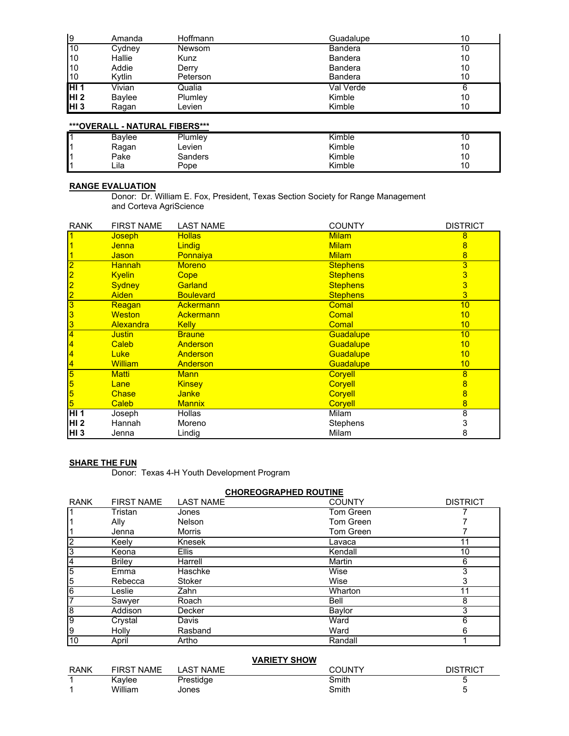| l9              | Amanda | Hoffmann | Guadalupe      | 10 |
|-----------------|--------|----------|----------------|----|
| 10              | Cydney | Newsom   | <b>Bandera</b> | 10 |
| 10              | Hallie | Kunz     | <b>Bandera</b> | 10 |
| 10              | Addie  | Derry    | <b>Bandera</b> | 10 |
| 10              | Kytlin | Peterson | <b>Bandera</b> | 10 |
| IHI 1           | Vivian | Qualia   | Val Verde      |    |
| HI <sub>2</sub> | Baylee | Plumley  | Kimble         | 10 |
| HI <sub>3</sub> | Ragan  | _evien   | Kimble         | 10 |

## **\*\*\*OVERALL - NATURAL FIBERS\*\*\***

|   | Bavlee | Plumley | Kimble |                        |
|---|--------|---------|--------|------------------------|
| ٠ | Ragan  | ∟evien  | Kimble | $\overline{10}$        |
| ٠ | Pake   | 3anders | Kimble | $\overline{10}$<br>. . |
| ٠ | Lila   | Pope    | Kimble |                        |

## **RANGE EVALUATION**

Donor: Dr. William E. Fox, President, Texas Section Society for Range Management and Corteva AgriScience

| <b>RANK</b>     | <b>FIRST NAME</b> | <b>LAST NAME</b> | <b>COUNTY</b>   | <b>DISTRICT</b> |
|-----------------|-------------------|------------------|-----------------|-----------------|
|                 | Joseph            | <b>Hollas</b>    | <b>Milam</b>    | 8               |
|                 | Jenna             | Lindig           | <b>Milam</b>    | 8               |
|                 | <b>Jason</b>      | Ponnaiya         | <b>Milam</b>    | 8               |
| $\overline{2}$  | <b>Hannah</b>     | <b>Moreno</b>    | <b>Stephens</b> | 3               |
| 2               | <b>Kyelin</b>     | Cope             | <b>Stephens</b> | $\overline{3}$  |
| $\overline{2}$  | <b>Sydney</b>     | Garland          | <b>Stephens</b> | 3               |
| $\overline{2}$  | <b>Aiden</b>      | <b>Boulevard</b> | <b>Stephens</b> | 3               |
| 3               | Reagan            | <b>Ackermann</b> | Comal           | 10              |
| 3               | <b>Weston</b>     | <b>Ackermann</b> | <b>Comal</b>    | 10              |
| 3               | <b>Alexandra</b>  | <b>Kelly</b>     | <b>Comal</b>    | 10              |
| 4               | <b>Justin</b>     | <b>Braune</b>    | Guadalupe       | 10              |
| 4               | Caleb             | Anderson         | Guadalupe       | 10              |
| 4               | <b>Luke</b>       | Anderson         | Guadalupe       | 10              |
| 4               | <b>William</b>    | Anderson         | Guadalupe       | 10              |
| 5               | Matti             | <b>Mann</b>      | Coryell         | 8               |
| 5               | Lane              | <b>Kinsey</b>    | Coryell         | $\overline{8}$  |
| 5               | <b>Chase</b>      | <b>Janke</b>     | Corvell         | $\overline{8}$  |
| 5               | Caleb             | <b>Mannix</b>    | Coryell         | 8               |
| HI <sub>1</sub> | Joseph            | Hollas           | Milam           | 8               |
| HI <sub>2</sub> | Hannah            | Moreno           | Stephens        | 3               |
| <b>HI3</b>      | Jenna             | Lindig           | Milam           | 8               |

## **SHARE THE FUN**

Donor: Texas 4-H Youth Development Program

### **CHOREOGRAPHED ROUTINE**

| <b>RANK</b>    | <b>FIRST NAME</b> | <b>LAST NAME</b> | <b>COUNTY</b>    | <b>DISTRICT</b> |
|----------------|-------------------|------------------|------------------|-----------------|
|                | Tristan           | Jones            | Tom Green        |                 |
|                | Ally              | <b>Nelson</b>    | <b>Tom Green</b> |                 |
|                | Jenna             | <b>Morris</b>    | <b>Tom Green</b> |                 |
| 2              | Keely             | Knesek           | Lavaca           |                 |
| 3              | Keona             | <b>Ellis</b>     | Kendall          | 10              |
| 4              | <b>Brilev</b>     | Harrell          | Martin           | 6               |
| $\overline{5}$ | Emma              | Haschke          | Wise             | 3               |
| 5              | Rebecca           | Stoker           | Wise             | 3               |
| 6              | Leslie            | Zahn             | Wharton          | 11              |
| 7              | Sawyer            | Roach            | <b>Bell</b>      | 8               |
| 8              | Addison           | Decker           | Baylor           | 3               |
| g              | Crystal           | Davis            | Ward             | 6               |
| 9              | Holly             | Rasband          | Ward             | 6               |
| 10             | April             | Artho            | Randall          |                 |

### **VARIETY SHOW**

| <b>RANK</b> | <b>FIRST NAME</b> | <b>NAME</b><br>AS <sub>1</sub> | רוחו ורי | DIS<br>≺lU |
|-------------|-------------------|--------------------------------|----------|------------|
|             | Kavlee            | Prestidge                      | Smith    |            |
|             | William           | Jones                          | Smith    |            |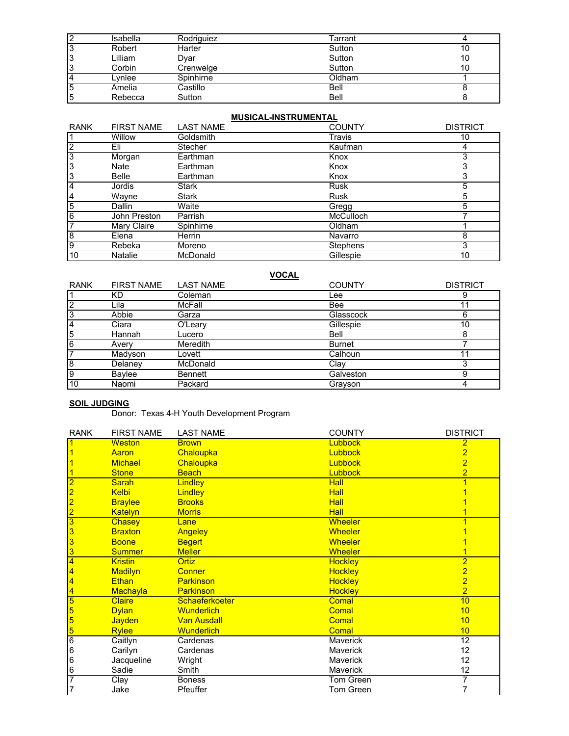| າ      | Isabella | Rodriguiez | ⊺arrant     |    |
|--------|----------|------------|-------------|----|
| っ<br>د | Robert   | Harter     | Sutton      | 10 |
| 3      | Lilliam  | Dvar       | Sutton      | 10 |
| 3      | Corbin   | Crenwelge  | Sutton      | 10 |
| 4      | -vnlee   | Spinhirne  | Oldham      |    |
| 5      | Amelia   | Castillo   | Bell        |    |
| 5      | Rebecca  | Sutton     | <b>Bell</b> |    |

### **MUSICAL-INSTRUMENTAL**

| <b>RANK</b>    | <b>FIRST NAME</b> | <b>LAST NAME</b> | <b>COUNTY</b>    | <b>DISTRICT</b> |
|----------------|-------------------|------------------|------------------|-----------------|
|                | <b>Willow</b>     | Goldsmith        | Travis           | 10              |
| $\overline{2}$ | Eli               | <b>Stecher</b>   | Kaufman          |                 |
| 3              | Morgan            | Earthman         | Knox             | 3               |
| 3              | Nate              | Earthman         | Knox             |                 |
| 3              | <b>Belle</b>      | Earthman         | Knox             |                 |
| $\mathbf{A}$   | Jordis            | Stark            | <b>Rusk</b>      | 5               |
| 14             | Wayne             | <b>Stark</b>     | <b>Rusk</b>      | 5               |
| 5              | Dallin            | Waite            | Gregg            |                 |
| 6              | John Preston      | Parrish          | <b>McCulloch</b> |                 |
| 7              | Mary Claire       | Spinhirne        | Oldham           |                 |
| 8              | Elena             | <b>Herrin</b>    | Navarro          | 8               |
| 9              | Rebeka            | Moreno           | Stephens         | 3               |
| 10             | <b>Natalie</b>    | McDonald         | Gillespie        | 10              |

## **VOCAL**

| <b>RANK</b>    | <b>FIRST NAME</b> | <b>LAST NAME</b> | <b>COUNTY</b> | <b>DISTRICT</b> |
|----------------|-------------------|------------------|---------------|-----------------|
|                | КD                | Coleman          | Lee           |                 |
| っ              | Lila              | McFall           | Bee           | 11              |
| 3              | Abbie             | Garza            | Glasscock     |                 |
| 4              | Ciara             | O'Leary          | Gillespie     | 10              |
| 5              | Hannah            | Lucero           | Bell          |                 |
| $\overline{6}$ | Avery             | Meredith         | <b>Burnet</b> |                 |
| ⇁              | Madyson           | Lovett           | Calhoun       |                 |
| 18             | Delaney           | McDonald         | Clay          |                 |
| l9             | Baylee            | Bennett          | Galveston     | 9               |
| 10             | Naomi             | Packard          | Grayson       |                 |

### **SOIL JUDGING**

Donor: Texas 4-H Youth Development Program

| <b>RANK</b>    | <b>FIRST NAME</b> | <b>LAST NAME</b>   | <b>COUNTY</b>   | <b>DISTRICT</b> |
|----------------|-------------------|--------------------|-----------------|-----------------|
|                | <b>Weston</b>     | <b>Brown</b>       | <b>Lubbock</b>  | $\overline{2}$  |
|                | Aaron             | Chaloupka          | Lubbock         | $\overline{2}$  |
|                | <b>Michael</b>    | Chaloupka          | Lubbock         | $\overline{2}$  |
|                | <b>Stone</b>      | <b>Beach</b>       | Lubbock         | $\overline{2}$  |
|                | <b>Sarah</b>      | <b>Lindley</b>     | Hall            |                 |
| 2              | Kelbi             | <b>Lindley</b>     | Hall            |                 |
| $\overline{c}$ | <b>Braylee</b>    | <b>Brooks</b>      | Hall            |                 |
| 2              | <b>Katelyn</b>    | <b>Morris</b>      | <b>Hall</b>     |                 |
| 3              | Chasey            | Lane               | <b>Wheeler</b>  |                 |
| 3              | <b>Braxton</b>    | Angeley            | <b>Wheeler</b>  |                 |
| 3              | <b>Boone</b>      | <b>Begert</b>      | <b>Wheeler</b>  |                 |
| 3              | <b>Summer</b>     | <b>Meller</b>      | <b>Wheeler</b>  |                 |
|                | <b>Kristin</b>    | <b>Ortiz</b>       | <b>Hockley</b>  | $\overline{2}$  |
|                | <b>Madilyn</b>    | <b>Conner</b>      | <b>Hockley</b>  | $\overline{2}$  |
|                | Ethan             | <b>Parkinson</b>   | <b>Hockley</b>  | $\overline{2}$  |
| 4              | <b>Machayla</b>   | <b>Parkinson</b>   | <b>Hockley</b>  | $\overline{2}$  |
| 5              | <b>Claire</b>     | Schaeferkoeter     | Comal           | 10              |
| 5              | <b>Dylan</b>      | <b>Wunderlich</b>  | Comal           | 10              |
| 5              | <b>Jayden</b>     | <b>Van Ausdall</b> | Comal           | 10              |
| 5              | <b>Rylee</b>      | <b>Wunderlich</b>  | <b>Comal</b>    | 10              |
| 6              | Caitlyn           | Cardenas           | <b>Maverick</b> | 12              |
| 6              | Carilyn           | Cardenas           | Maverick        | 12 <sub>2</sub> |
| 6              | Jacqueline        | Wright             | <b>Maverick</b> | 12              |
| 6              | Sadie             | Smith              | <b>Maverick</b> | 12              |
| 7              | Clay              | <b>Boness</b>      | Tom Green       | 7               |
| 7              | Jake              | Pfeuffer           | Tom Green       |                 |